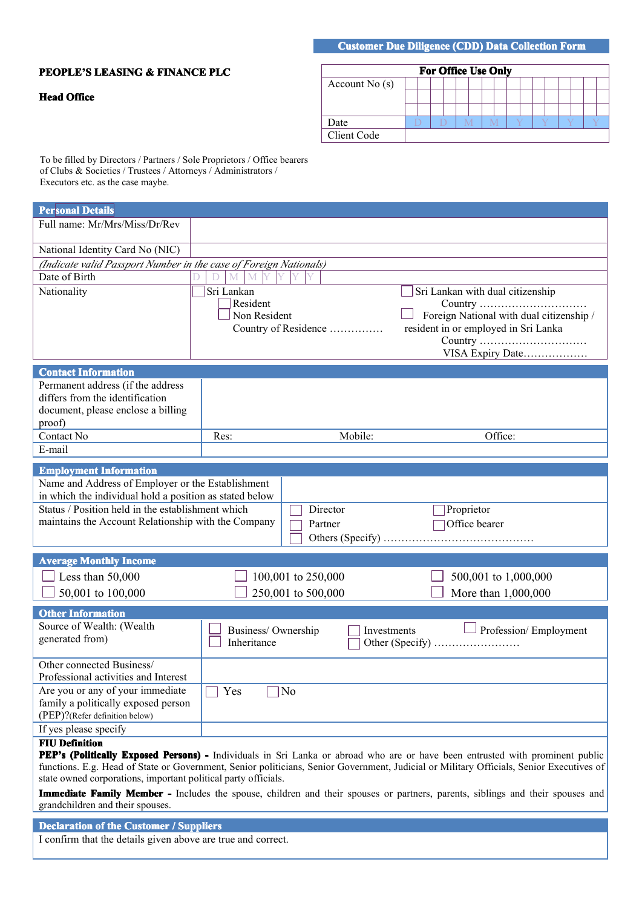## **Customer Due Diligence (CDD) Data Collection Form**

## **PEOPLE'S LEASING LEASING LEASING& FINANCE FINANCE PLC**

## **Head Office**

|                 |  | <b>For Office Use Only</b> |  |  |  |  |  |  |  |
|-----------------|--|----------------------------|--|--|--|--|--|--|--|
| Account $No(s)$ |  |                            |  |  |  |  |  |  |  |
|                 |  |                            |  |  |  |  |  |  |  |
|                 |  |                            |  |  |  |  |  |  |  |
| Date            |  |                            |  |  |  |  |  |  |  |
| Client Code     |  |                            |  |  |  |  |  |  |  |

To be filled by Directors / Partners / Sole Proprietors / Office bearers of Clubs & Societies / Trustees / Attorneys / Administrators / Executors etc. as the case maybe.

| <b>Personal Details</b>                                                                                                                                             |                                        |                                          |                                                                                                                                                                                                                                                                           |
|---------------------------------------------------------------------------------------------------------------------------------------------------------------------|----------------------------------------|------------------------------------------|---------------------------------------------------------------------------------------------------------------------------------------------------------------------------------------------------------------------------------------------------------------------------|
| Full name: Mr/Mrs/Miss/Dr/Rev                                                                                                                                       |                                        |                                          |                                                                                                                                                                                                                                                                           |
| National Identity Card No (NIC)                                                                                                                                     |                                        |                                          |                                                                                                                                                                                                                                                                           |
| (Indicate valid Passport Number in the case of Foreign Nationals)                                                                                                   |                                        |                                          |                                                                                                                                                                                                                                                                           |
| Date of Birth                                                                                                                                                       | M<br>V<br>D<br>M                       |                                          |                                                                                                                                                                                                                                                                           |
| Nationality                                                                                                                                                         | Sri Lankan<br>Resident<br>Non Resident | Country of Residence                     | Sri Lankan with dual citizenship<br>Foreign National with dual citizenship /<br>resident in or employed in Sri Lanka<br>Country<br>VISA Expiry Date                                                                                                                       |
| <b>Contact Information</b>                                                                                                                                          |                                        |                                          |                                                                                                                                                                                                                                                                           |
| Permanent address (if the address<br>differs from the identification<br>document, please enclose a billing<br>proof)                                                |                                        |                                          |                                                                                                                                                                                                                                                                           |
| Contact No                                                                                                                                                          | Res:                                   | Mobile:                                  | Office:                                                                                                                                                                                                                                                                   |
| E-mail                                                                                                                                                              |                                        |                                          |                                                                                                                                                                                                                                                                           |
| <b>Employment Information</b>                                                                                                                                       |                                        |                                          |                                                                                                                                                                                                                                                                           |
| in which the individual hold a position as stated below<br>Status / Position held in the establishment which<br>maintains the Account Relationship with the Company |                                        | Director<br>Partner                      | Proprietor<br>Office bearer                                                                                                                                                                                                                                               |
| <b>Average Monthly Income</b>                                                                                                                                       |                                        |                                          |                                                                                                                                                                                                                                                                           |
| $\Box$ Less than 50,000<br>50,001 to 100,000                                                                                                                        |                                        | 100,001 to 250,000<br>250,001 to 500,000 | 500,001 to 1,000,000<br>More than 1,000,000                                                                                                                                                                                                                               |
| <b>Other Information</b>                                                                                                                                            |                                        |                                          |                                                                                                                                                                                                                                                                           |
| Source of Wealth: (Wealth<br>generated from)                                                                                                                        | Business/Ownership<br>Inheritance      |                                          | $\Box$ Profession/ Employment<br>Investments                                                                                                                                                                                                                              |
| Other connected Business/<br>Professional activities and Interest                                                                                                   |                                        |                                          |                                                                                                                                                                                                                                                                           |
| Are you or any of your immediate<br>family a politically exposed person<br>(PEP)?(Refer definition below)                                                           | $\overline{\Box Y}$ es                 | $\overline{\bigcap_{N}}$                 |                                                                                                                                                                                                                                                                           |
| If yes please specify                                                                                                                                               |                                        |                                          |                                                                                                                                                                                                                                                                           |
| <b>FIU Definition</b><br>state owned corporations, important political party officials.                                                                             |                                        |                                          | PEP's (Politically Exposed Persons) - Individuals in Sri Lanka or abroad who are or have been entrusted with prominent public<br>functions. E.g. Head of State or Government, Senior politicians, Senior Government, Judicial or Military Officials, Senior Executives of |
| grandchildren and their spouses.                                                                                                                                    |                                        |                                          | Immediate Family Member - Includes the spouse, children and their spouses or partners, parents, siblings and their spouses and                                                                                                                                            |
| <b>Declaration of the Customer / Suppliers</b><br>I confirm that the details given above are true and correct.                                                      |                                        |                                          |                                                                                                                                                                                                                                                                           |